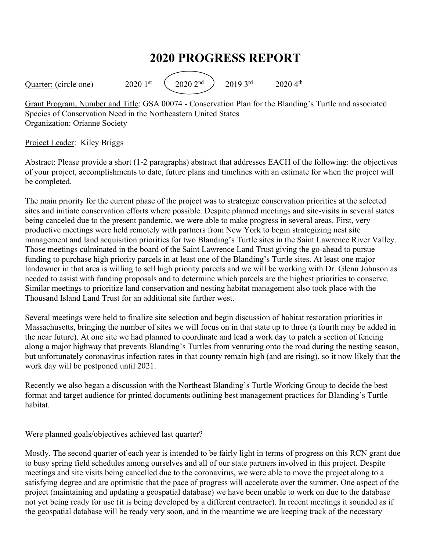## **2020 PROGRESS REPORT**

Quarter: (circle one)  $2020 \, 1^{st}$   $(2020 \, 2^{nd})$   $2019 \, 3^{rd}$   $2020 \, 4^{th}$ 

Grant Program, Number and Title: GSA 00074 - Conservation Plan for the Blanding's Turtle and associated Species of Conservation Need in the Northeastern United States Organization: Orianne Society

Project Leader: Kiley Briggs

Abstract: Please provide a short (1-2 paragraphs) abstract that addresses EACH of the following: the objectives of your project, accomplishments to date, future plans and timelines with an estimate for when the project will be completed.

The main priority for the current phase of the project was to strategize conservation priorities at the selected sites and initiate conservation efforts where possible. Despite planned meetings and site-visits in several states being canceled due to the present pandemic, we were able to make progress in several areas. First, very productive meetings were held remotely with partners from New York to begin strategizing nest site management and land acquisition priorities for two Blanding's Turtle sites in the Saint Lawrence River Valley. Those meetings culminated in the board of the Saint Lawrence Land Trust giving the go-ahead to pursue funding to purchase high priority parcels in at least one of the Blanding's Turtle sites. At least one major landowner in that area is willing to sell high priority parcels and we will be working with Dr. Glenn Johnson as needed to assist with funding proposals and to determine which parcels are the highest priorities to conserve. Similar meetings to prioritize land conservation and nesting habitat management also took place with the Thousand Island Land Trust for an additional site farther west.

Several meetings were held to finalize site selection and begin discussion of habitat restoration priorities in Massachusetts, bringing the number of sites we will focus on in that state up to three (a fourth may be added in the near future). At one site we had planned to coordinate and lead a work day to patch a section of fencing along a major highway that prevents Blanding's Turtles from venturing onto the road during the nesting season, but unfortunately coronavirus infection rates in that county remain high (and are rising), so it now likely that the work day will be postponed until 2021.

Recently we also began a discussion with the Northeast Blanding's Turtle Working Group to decide the best format and target audience for printed documents outlining best management practices for Blanding's Turtle habitat.

## Were planned goals/objectives achieved last quarter?

Mostly. The second quarter of each year is intended to be fairly light in terms of progress on this RCN grant due to busy spring field schedules among ourselves and all of our state partners involved in this project. Despite meetings and site visits being cancelled due to the coronavirus, we were able to move the project along to a satisfying degree and are optimistic that the pace of progress will accelerate over the summer. One aspect of the project (maintaining and updating a geospatial database) we have been unable to work on due to the database not yet being ready for use (it is being developed by a different contractor). In recent meetings it sounded as if the geospatial database will be ready very soon, and in the meantime we are keeping track of the necessary